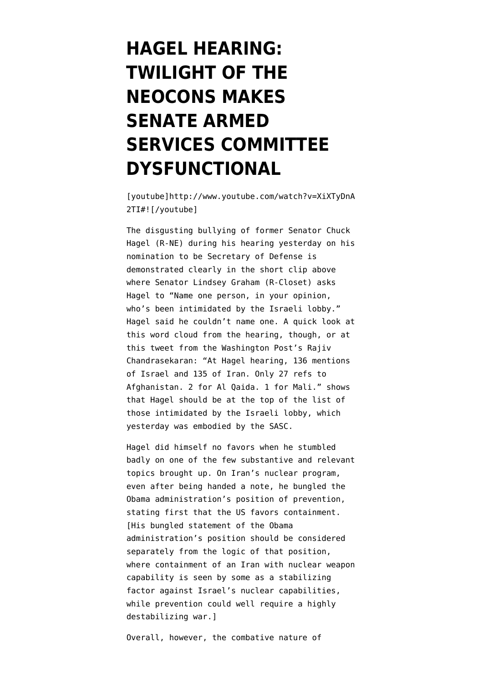## **[HAGEL HEARING:](https://www.emptywheel.net/2013/02/01/hagel-hearing-twilight-of-the-neocons-makes-senate-armed-services-committee-dysfunctional/) [TWILIGHT OF THE](https://www.emptywheel.net/2013/02/01/hagel-hearing-twilight-of-the-neocons-makes-senate-armed-services-committee-dysfunctional/) [NEOCONS MAKES](https://www.emptywheel.net/2013/02/01/hagel-hearing-twilight-of-the-neocons-makes-senate-armed-services-committee-dysfunctional/) [SENATE ARMED](https://www.emptywheel.net/2013/02/01/hagel-hearing-twilight-of-the-neocons-makes-senate-armed-services-committee-dysfunctional/) [SERVICES COMMITTEE](https://www.emptywheel.net/2013/02/01/hagel-hearing-twilight-of-the-neocons-makes-senate-armed-services-committee-dysfunctional/) [DYSFUNCTIONAL](https://www.emptywheel.net/2013/02/01/hagel-hearing-twilight-of-the-neocons-makes-senate-armed-services-committee-dysfunctional/)**

[youtube]http://www.youtube.com/watch?v=XiXTyDnA 2TI#![/youtube]

The disgusting bullying of former Senator Chuck Hagel (R-NE) during his hearing yesterday on his nomination to be Secretary of Defense is demonstrated clearly in the short clip above where Senator Lindsey Graham (R-Closet) asks Hagel to "Name one person, in your opinion, who's been intimidated by the Israeli lobby." Hagel said he couldn't name one. A quick look at [this word cloud](http://www.buzzfeed.com/rosiegray/senators-only-asked-chuck-hagel-about-iran-and-isr) from the hearing, though, or at [this tweet](https://twitter.com/rajivwashpost/status/297125216830763008) from the Washington Post's Rajiv Chandrasekaran: "At Hagel hearing, 136 mentions of Israel and 135 of Iran. Only 27 refs to Afghanistan. 2 for Al Qaida. 1 for Mali." shows that Hagel should be at the top of the list of those intimidated by the Israeli lobby, which yesterday was embodied by the SASC.

Hagel did himself no favors when he stumbled badly on one of the few substantive and relevant topics brought up. On Iran's nuclear program, even after being handed a note, he [bungled the](http://www.nytimes.com/2013/02/01/us/politics/sharp-exchanges-expected-in-hearing-on-hagel-nomination.html?pagewanted=1&_r=0&ref=politics) [Obama administration's position of prevention](http://www.nytimes.com/2013/02/01/us/politics/sharp-exchanges-expected-in-hearing-on-hagel-nomination.html?pagewanted=1&_r=0&ref=politics), stating first that the US favors containment. [His bungled statement of the Obama administration's position should be considered separately from the logic of that position, where containment of an Iran with nuclear weapon capability is seen by some as a stabilizing factor against Israel's nuclear capabilities, while prevention could well require a highly destabilizing war.]

Overall, however, the combative nature of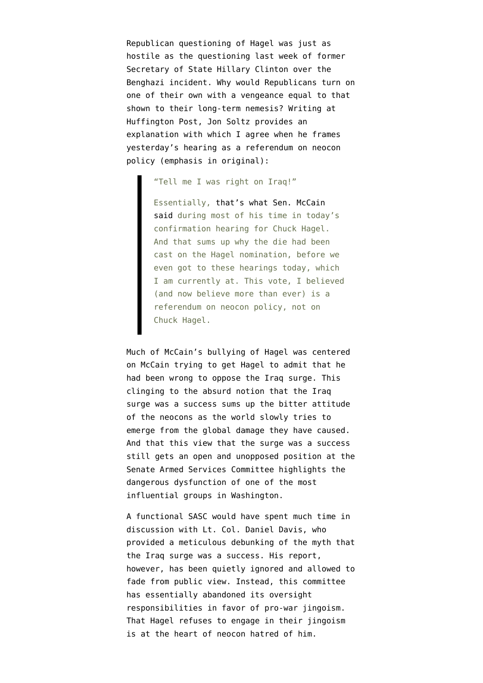Republican questioning of Hagel was just as hostile as the questioning last week of former Secretary of State Hillary Clinton over the Benghazi incident. Why would Republicans turn on one of their own with a vengeance equal to that shown to their long-term nemesis? Writing at [Huffington Post, Jon Soltz](http://www.huffingtonpost.com/jon-soltz/gop-farce-at-hagel-hearin_b_2591483.html) provides an explanation with which I agree when he frames yesterday's hearing as a referendum on neocon policy (emphasis in original):

"Tell me I was right on Iraq!"

Essentially[, that's what Sen. McCain](http://www.huffingtonpost.com/2013/01/31/chuck-hagel-john-mccain-iraq_n_2591001.html) [said](http://www.huffingtonpost.com/2013/01/31/chuck-hagel-john-mccain-iraq_n_2591001.html) during most of his time in today's confirmation hearing for Chuck Hagel. And that sums up why the die had been cast on the Hagel nomination, before we even got to these hearings today, which I am currently at. This vote, I believed (and now believe more than ever) is a referendum on neocon policy, not on Chuck Hagel.

Much of McCain's bullying of Hagel was centered on McCain trying to get Hagel to admit that he had been wrong to oppose the Iraq surge. This clinging to the absurd notion that the Iraq surge was a success sums up the bitter attitude of the neocons as the world slowly tries to emerge from the global damage they have caused. And that this view that the surge was a success still gets an open and unopposed position at the Senate Armed Services Committee highlights the dangerous dysfunction of one of the most influential groups in Washington.

A functional SASC would have spent much time in discussion with Lt. Col. Daniel Davis, who provided a [meticulous debunking of the myth that](http://www.emptywheel.net/2012/02/11/lt-col-daniel-davis-truth-telling-continues-long-report-published-by-rolling-stone/) [the Iraq surge was a success](http://www.emptywheel.net/2012/02/11/lt-col-daniel-davis-truth-telling-continues-long-report-published-by-rolling-stone/). His report, however, has been quietly ignored and allowed to fade from public view. Instead, this committee has essentially abandoned its oversight responsibilities in favor of pro-war jingoism. That Hagel refuses to engage in their jingoism is at the heart of neocon hatred of him.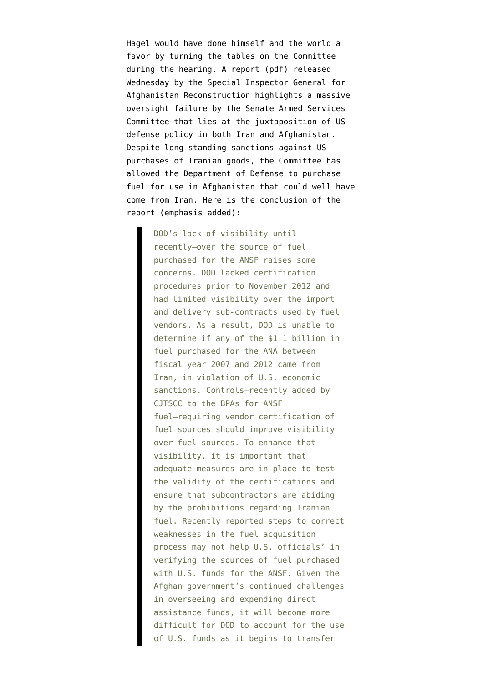Hagel would have done himself and the world a favor by turning the tables on the Committee during the hearing. A [report](http://www.sigar.mil/pdf/alerts/2013-01-30-alert-sp-13-2.pdf) (pdf) released Wednesday by the Special Inspector General for Afghanistan Reconstruction highlights a massive oversight failure by the Senate Armed Services Committee that lies at the juxtaposition of US defense policy in both Iran and Afghanistan. Despite long-standing sanctions against US purchases of Iranian goods, the Committee has allowed the Department of Defense to purchase fuel for use in Afghanistan that could well have come from Iran. Here is the conclusion of the report (emphasis added):

> DOD's lack of visibility—until recently—over the source of fuel purchased for the ANSF raises some concerns. DOD lacked certification procedures prior to November 2012 and had limited visibility over the import and delivery sub-contracts used by fuel vendors. As a result, DOD is unable to determine if any of the \$1.1 billion in fuel purchased for the ANA between fiscal year 2007 and 2012 came from Iran, in violation of U.S. economic sanctions. Controls—recently added by CJTSCC to the BPAs for ANSF fuel—requiring vendor certification of fuel sources should improve visibility over fuel sources. To enhance that visibility, it is important that adequate measures are in place to test the validity of the certifications and ensure that subcontractors are abiding by the prohibitions regarding Iranian fuel. Recently reported steps to correct weaknesses in the fuel acquisition process may not help U.S. officials' in verifying the sources of fuel purchased with U.S. funds for the ANSF. Given the Afghan government's continued challenges in overseeing and expending direct assistance funds, it will become more difficult for DOD to account for the use of U.S. funds as it begins to transfer